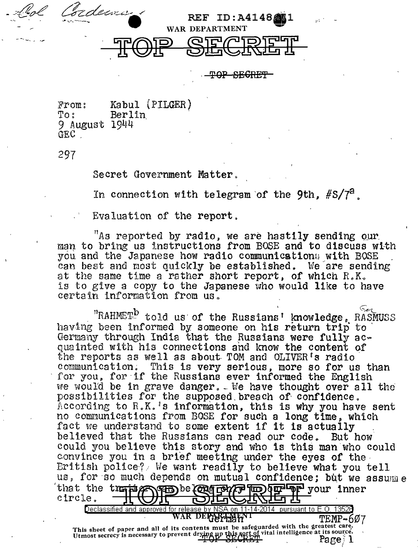

**TAP SEGRET** 

From: Kabul (PILGER)<br>To: Berlin Berlin<sup>'</sup> 9 August 1944 GEC<sup>.</sup>

297

Secret Government Matter.

In connection with telegram of the 9th,  $#S/Z^2$ .

Evaluation of the report.

"As reported by radio, we are hastily sending  $_{\rm QUP}$ . man to bring us instructions from BOSE and to discuss with you and the Japanese how radio communications with BOSE can best and most quickly be established. We are sending at the same time a rather short report, of which R.K. is to give a copy to the Japanese who would like to have certain information from us.

"RAHMET" told us of the Russians' knowledge, RASMUSS having been informed by someone on his return trip to Germany through India that the Russians were fully ac-<br>quainted with his connections and know the content of the reports as well as about TOM and OLIVER's radio<br>communication. This is very serious, more so for us than for you, for if the Russians ever informed the English we would be in grave danger. We have thought over all the possibilities for the supposed breach of confidence. According to R.K.'s information, this is why you have sent no communications from BOSE for such a long time, which fact we understand to some extent if it is actually .<br>believed that the Russians can read our code. But how could you believe this story and who is this man who could convince you in a brief meeting under the eyes of the Eritish police? We want readily to believe what you tell us, for so much depends on mutual confidence; but we assumme that the trajing para be congress to be usiner your inner circle. it Cn Declassified and approved for release by NSA on 11-14-2014  $\,$  pursuant to E.O. 13526  $\,$ WAR DER PEMP-607

This sheet of paper and all of its contents must be safeguarded with the greatest care. I mis sucet of paper and an of revent drying up this secrecy vital intelligence at its source. Page 1